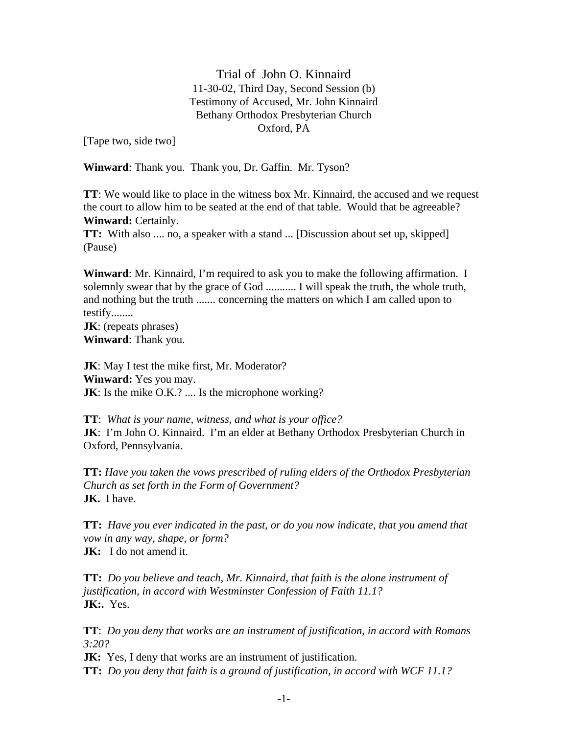Trial of John O. Kinnaird 11-30-02, Third Day, Second Session (b) Testimony of Accused, Mr. John Kinnaird Bethany Orthodox Presbyterian Church Oxford, PA

[Tape two, side two]

**Winward**: Thank you. Thank you, Dr. Gaffin. Mr. Tyson?

**TT**: We would like to place in the witness box Mr. Kinnaird, the accused and we request the court to allow him to be seated at the end of that table. Would that be agreeable? **Winward:** Certainly.

**TT:** With also .... no, a speaker with a stand ... [Discussion about set up, skipped] (Pause)

**Winward**: Mr. Kinnaird, I'm required to ask you to make the following affirmation. I solemnly swear that by the grace of God ........... I will speak the truth, the whole truth, and nothing but the truth ....... concerning the matters on which I am called upon to testify........

**JK**: (repeats phrases) **Winward**: Thank you.

**JK**: May I test the mike first, Mr. Moderator? **Winward:** Yes you may. **JK**: Is the mike O.K.? .... Is the microphone working?

**TT**: *What is your name, witness, and what is your office?* **JK**: I'm John O. Kinnaird. I'm an elder at Bethany Orthodox Presbyterian Church in Oxford, Pennsylvania.

**TT:** *Have you taken the vows prescribed of ruling elders of the Orthodox Presbyterian Church as set forth in the Form of Government?* **JK.** I have.

**TT:** *Have you ever indicated in the past, or do you now indicate, that you amend that vow in any way, shape, or form?* **JK:** I do not amend it.

**TT:** *Do you believe and teach, Mr. Kinnaird, that faith is the alone instrument of justification, in accord with Westminster Confession of Faith 11.1?* **JK:.** Yes.

**TT**: *Do you deny that works are an instrument of justification, in accord with Romans 3:20?*

**JK:** Yes, I deny that works are an instrument of justification. **TT:** *Do you deny that faith is a ground of justification, in accord with WCF 11.1?*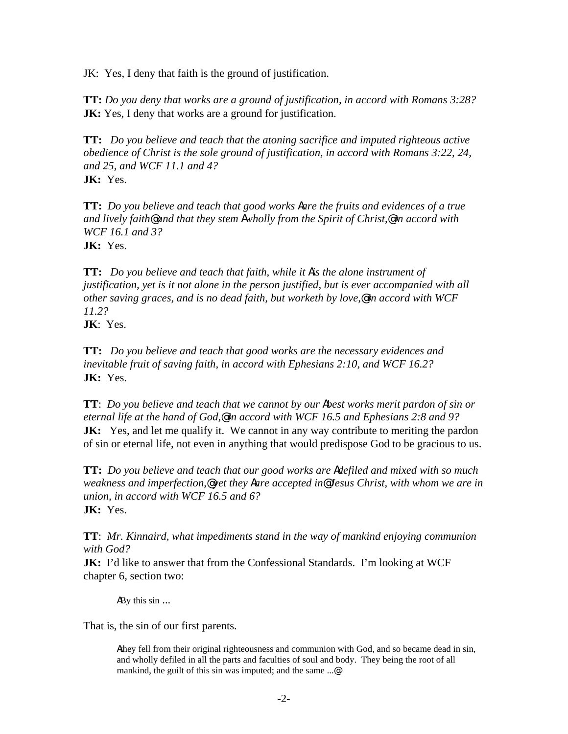JK: Yes, I deny that faith is the ground of justification.

**TT:** *Do you deny that works are a ground of justification, in accord with Romans 3:28?* **JK:** Yes, I deny that works are a ground for justification.

**TT:** *Do you believe and teach that the atoning sacrifice and imputed righteous active obedience of Christ is the sole ground of justification, in accord with Romans 3:22, 24, and 25, and WCF 11.1 and 4?* **JK:** Yes.

**TT:** *Do you believe and teach that good works Aare the fruits and evidences of a true and lively faith@ and that they stem Awholly from the Spirit of Christ,@ in accord with WCF 16.1 and 3?* **JK:** Yes.

**TT:** *Do you believe and teach that faith, while it Ais the alone instrument of justification, yet is it not alone in the person justified, but is ever accompanied with all other saving graces, and is no dead faith, but worketh by love,@ in accord with WCF 11.2?*

**JK**: Yes.

**TT:** *Do you believe and teach that good works are the necessary evidences and inevitable fruit of saving faith, in accord with Ephesians 2:10, and WCF 16.2?* **JK:** Yes.

**TT**: *Do you believe and teach that we cannot by our Abest works merit pardon of sin or eternal life at the hand of God,@ in accord with WCF 16.5 and Ephesians 2:8 and 9?* **JK:** Yes, and let me qualify it. We cannot in any way contribute to meriting the pardon of sin or eternal life, not even in anything that would predispose God to be gracious to us.

**TT:** *Do you believe and teach that our good works are Adefiled and mixed with so much weakness and imperfection,@ yet they Aare accepted in@ Jesus Christ, with whom we are in union, in accord with WCF 16.5 and 6?* **JK:** Yes.

**TT**: *Mr. Kinnaird, what impediments stand in the way of mankind enjoying communion with God?*

**JK:** I'd like to answer that from the Confessional Standards. I'm looking at WCF chapter 6, section two:

ABy this sin ...

That is, the sin of our first parents.

Athey fell from their original righteousness and communion with God, and so became dead in sin, and wholly defiled in all the parts and faculties of soul and body. They being the root of all mankind, the guilt of this sin was imputed; and the same ...@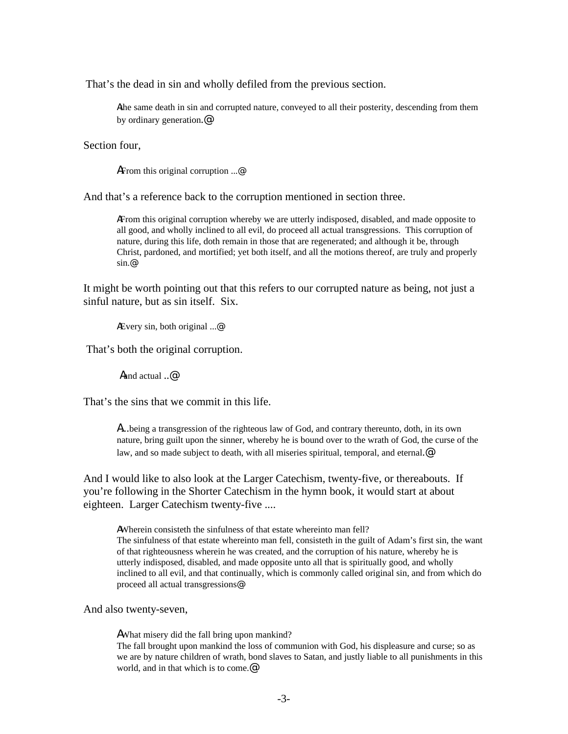That's the dead in sin and wholly defiled from the previous section.

Athe same death in sin and corrupted nature, conveyed to all their posterity, descending from them by ordinary generation.@

Section four,

AFrom this original corruption ...@

And that's a reference back to the corruption mentioned in section three.

AFrom this original corruption whereby we are utterly indisposed, disabled, and made opposite to all good, and wholly inclined to all evil, do proceed all actual transgressions. This corruption of nature, during this life, doth remain in those that are regenerated; and although it be, through Christ, pardoned, and mortified; yet both itself, and all the motions thereof, are truly and properly sin.@

It might be worth pointing out that this refers to our corrupted nature as being, not just a sinful nature, but as sin itself. Six.

AEvery sin, both original ...@

That's both the original corruption.

Aand actual ..@

That's the sins that we commit in this life.

A...being a transgression of the righteous law of God, and contrary thereunto, doth, in its own nature, bring guilt upon the sinner, whereby he is bound over to the wrath of God, the curse of the law, and so made subject to death, with all miseries spiritual, temporal, and eternal.<sup>@</sup>

And I would like to also look at the Larger Catechism, twenty-five, or thereabouts. If you're following in the Shorter Catechism in the hymn book, it would start at about eighteen. Larger Catechism twenty-five ....

AWherein consisteth the sinfulness of that estate whereinto man fell?

The sinfulness of that estate whereinto man fell, consisteth in the guilt of Adam's first sin, the want of that righteousness wherein he was created, and the corruption of his nature, whereby he is utterly indisposed, disabled, and made opposite unto all that is spiritually good, and wholly inclined to all evil, and that continually, which is commonly called original sin, and from which do proceed all actual transgressions@

And also twenty-seven,

AWhat misery did the fall bring upon mankind? The fall brought upon mankind the loss of communion with God, his displeasure and curse; so as we are by nature children of wrath, bond slaves to Satan, and justly liable to all punishments in this world, and in that which is to come.*@*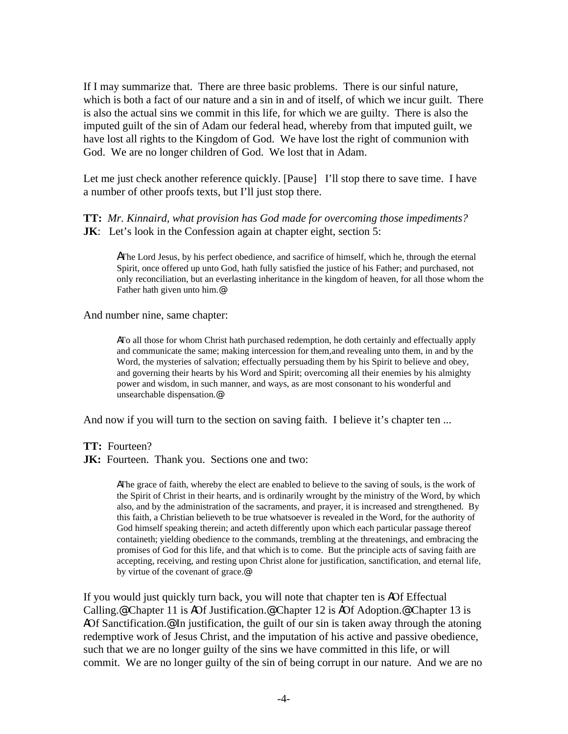If I may summarize that. There are three basic problems. There is our sinful nature, which is both a fact of our nature and a sin in and of itself, of which we incur guilt. There is also the actual sins we commit in this life, for which we are guilty. There is also the imputed guilt of the sin of Adam our federal head, whereby from that imputed guilt, we have lost all rights to the Kingdom of God. We have lost the right of communion with God. We are no longer children of God. We lost that in Adam.

Let me just check another reference quickly. [Pause] I'll stop there to save time. I have a number of other proofs texts, but I'll just stop there.

#### **TT:** *Mr. Kinnaird, what provision has God made for overcoming those impediments?* **JK**: Let's look in the Confession again at chapter eight, section 5:

AThe Lord Jesus, by his perfect obedience, and sacrifice of himself, which he, through the eternal Spirit, once offered up unto God, hath fully satisfied the justice of his Father; and purchased, not only reconciliation, but an everlasting inheritance in the kingdom of heaven, for all those whom the Father hath given unto him.@

#### And number nine, same chapter:

ATo all those for whom Christ hath purchased redemption, he doth certainly and effectually apply and communicate the same; making intercession for them,and revealing unto them, in and by the Word, the mysteries of salvation; effectually persuading them by his Spirit to believe and obey, and governing their hearts by his Word and Spirit; overcoming all their enemies by his almighty power and wisdom, in such manner, and ways, as are most consonant to his wonderful and unsearchable dispensation.@

And now if you will turn to the section on saving faith. I believe it's chapter ten ...

- **TT:** Fourteen?
- **JK:** Fourteen. Thank you. Sections one and two:

AThe grace of faith, whereby the elect are enabled to believe to the saving of souls, is the work of the Spirit of Christ in their hearts, and is ordinarily wrought by the ministry of the Word, by which also, and by the administration of the sacraments, and prayer, it is increased and strengthened. By this faith, a Christian believeth to be true whatsoever is revealed in the Word, for the authority of God himself speaking therein; and acteth differently upon which each particular passage thereof containeth; yielding obedience to the commands, trembling at the threatenings, and embracing the promises of God for this life, and that which is to come. But the principle acts of saving faith are accepting, receiving, and resting upon Christ alone for justification, sanctification, and eternal life, by virtue of the covenant of grace.@

If you would just quickly turn back, you will note that chapter ten is AOf Effectual Calling.@ Chapter 11 is AOf Justification.@ Chapter 12 is AOf Adoption.@ Chapter 13 is AOf Sanctification.<sup>@</sup> In justification, the guilt of our sin is taken away through the atoning redemptive work of Jesus Christ, and the imputation of his active and passive obedience, such that we are no longer guilty of the sins we have committed in this life, or will commit. We are no longer guilty of the sin of being corrupt in our nature. And we are no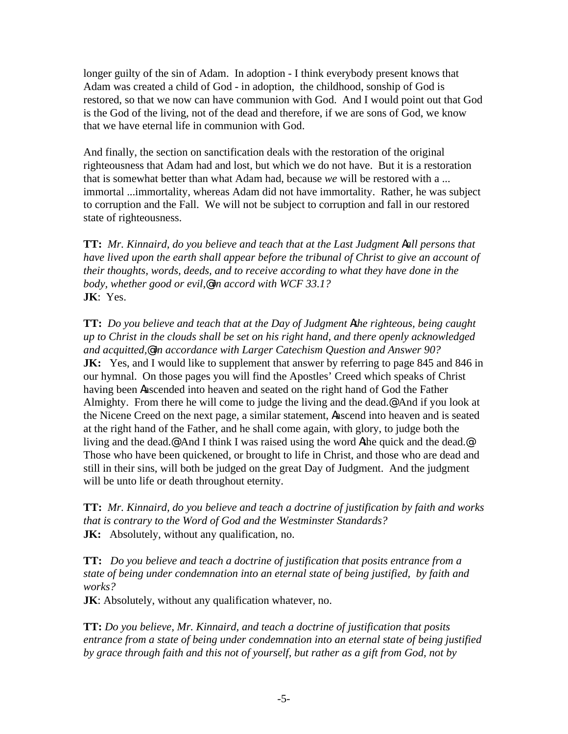longer guilty of the sin of Adam. In adoption - I think everybody present knows that Adam was created a child of God - in adoption, the childhood, sonship of God is restored, so that we now can have communion with God. And I would point out that God is the God of the living, not of the dead and therefore, if we are sons of God, we know that we have eternal life in communion with God.

And finally, the section on sanctification deals with the restoration of the original righteousness that Adam had and lost, but which we do not have. But it is a restoration that is somewhat better than what Adam had, because *we* will be restored with a ... immortal ...immortality, whereas Adam did not have immortality. Rather, he was subject to corruption and the Fall. We will not be subject to corruption and fall in our restored state of righteousness.

**TT:** *Mr. Kinnaird, do you believe and teach that at the Last Judgment Aall persons that have lived upon the earth shall appear before the tribunal of Christ to give an account of their thoughts, words, deeds, and to receive according to what they have done in the body, whether good or evil,@ in accord with WCF 33.1?* **JK**: Yes.

**TT:** *Do you believe and teach that at the Day of Judgment Athe righteous, being caught up to Christ in the clouds shall be set on his right hand, and there openly acknowledged and acquitted,@ in accordance with Larger Catechism Question and Answer 90?* **JK:** Yes, and I would like to supplement that answer by referring to page 845 and 846 in our hymnal. On those pages you will find the Apostles' Creed which speaks of Christ having been Aascended into heaven and seated on the right hand of God the Father Almighty. From there he will come to judge the living and the dead.@ And if you look at the Nicene Creed on the next page, a similar statement, Aascend into heaven and is seated at the right hand of the Father, and he shall come again, with glory, to judge both the living and the dead.@ And I think I was raised using the word Athe quick and the dead.@ Those who have been quickened, or brought to life in Christ, and those who are dead and still in their sins, will both be judged on the great Day of Judgment. And the judgment will be unto life or death throughout eternity.

**TT:** *Mr. Kinnaird, do you believe and teach a doctrine of justification by faith and works that is contrary to the Word of God and the Westminster Standards?* **JK:** Absolutely, without any qualification, no.

**TT:** *Do you believe and teach a doctrine of justification that posits entrance from a state of being under condemnation into an eternal state of being justified, by faith and works?*

**JK**: Absolutely, without any qualification whatever, no.

**TT:** *Do you believe, Mr. Kinnaird, and teach a doctrine of justification that posits entrance from a state of being under condemnation into an eternal state of being justified by grace through faith and this not of yourself, but rather as a gift from God, not by*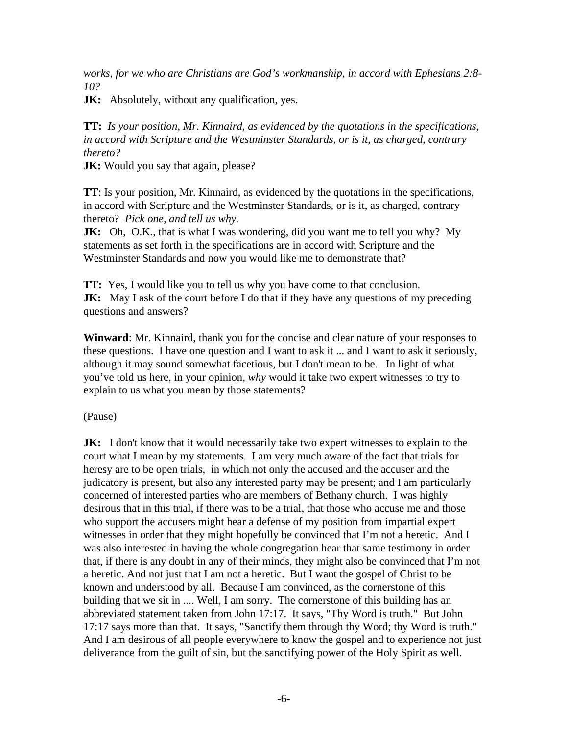*works, for we who are Christians are God's workmanship, in accord with Ephesians 2:8- 10?*

**JK:** Absolutely, without any qualification, yes.

**TT:** *Is your position, Mr. Kinnaird, as evidenced by the quotations in the specifications, in accord with Scripture and the Westminster Standards, or is it, as charged, contrary thereto?* 

**JK:** Would you say that again, please?

**TT**: Is your position, Mr. Kinnaird, as evidenced by the quotations in the specifications, in accord with Scripture and the Westminster Standards, or is it, as charged, contrary thereto? *Pick one, and tell us why.*

**JK:** Oh, O.K., that is what I was wondering, did you want me to tell you why? My statements as set forth in the specifications are in accord with Scripture and the Westminster Standards and now you would like me to demonstrate that?

**TT:** Yes, I would like you to tell us why you have come to that conclusion. **JK:** May I ask of the court before I do that if they have any questions of my preceding questions and answers?

**Winward**: Mr. Kinnaird, thank you for the concise and clear nature of your responses to these questions. I have one question and I want to ask it ... and I want to ask it seriously, although it may sound somewhat facetious, but I don't mean to be. In light of what you've told us here, in your opinion, *why* would it take two expert witnesses to try to explain to us what you mean by those statements?

(Pause)

**JK:** I don't know that it would necessarily take two expert witnesses to explain to the court what I mean by my statements. I am very much aware of the fact that trials for heresy are to be open trials, in which not only the accused and the accuser and the judicatory is present, but also any interested party may be present; and I am particularly concerned of interested parties who are members of Bethany church. I was highly desirous that in this trial, if there was to be a trial, that those who accuse me and those who support the accusers might hear a defense of my position from impartial expert witnesses in order that they might hopefully be convinced that I'm not a heretic. And I was also interested in having the whole congregation hear that same testimony in order that, if there is any doubt in any of their minds, they might also be convinced that I'm not a heretic. And not just that I am not a heretic. But I want the gospel of Christ to be known and understood by all. Because I am convinced, as the cornerstone of this building that we sit in .... Well, I am sorry. The cornerstone of this building has an abbreviated statement taken from John 17:17. It says, "Thy Word is truth." But John 17:17 says more than that. It says, "Sanctify them through thy Word; thy Word is truth." And I am desirous of all people everywhere to know the gospel and to experience not just deliverance from the guilt of sin, but the sanctifying power of the Holy Spirit as well.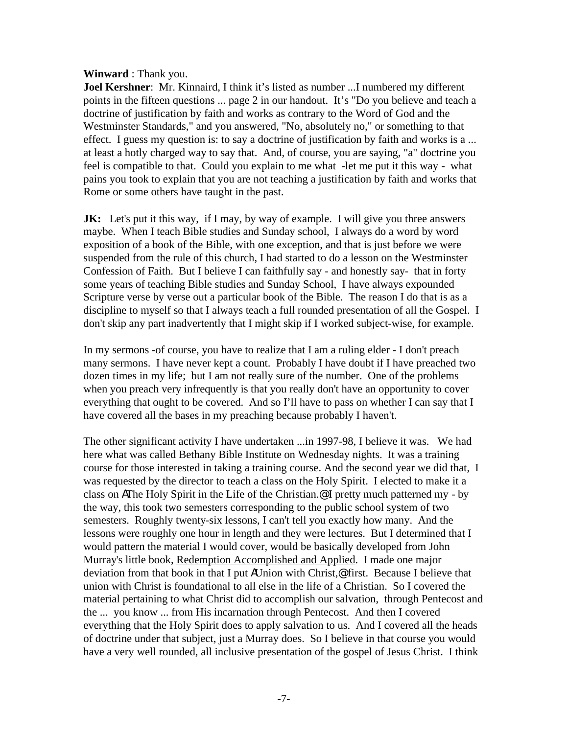#### **Winward** : Thank you.

**Joel Kershner**: Mr. Kinnaird, I think it's listed as number ...I numbered my different points in the fifteen questions ... page 2 in our handout. It's "Do you believe and teach a doctrine of justification by faith and works as contrary to the Word of God and the Westminster Standards," and you answered, "No, absolutely no," or something to that effect. I guess my question is: to say a doctrine of justification by faith and works is a ... at least a hotly charged way to say that. And, of course, you are saying, "a" doctrine you feel is compatible to that. Could you explain to me what -let me put it this way - what pains you took to explain that you are not teaching a justification by faith and works that Rome or some others have taught in the past.

**JK:** Let's put it this way, if I may, by way of example. I will give you three answers maybe. When I teach Bible studies and Sunday school, I always do a word by word exposition of a book of the Bible, with one exception, and that is just before we were suspended from the rule of this church, I had started to do a lesson on the Westminster Confession of Faith. But I believe I can faithfully say - and honestly say- that in forty some years of teaching Bible studies and Sunday School, I have always expounded Scripture verse by verse out a particular book of the Bible. The reason I do that is as a discipline to myself so that I always teach a full rounded presentation of all the Gospel. I don't skip any part inadvertently that I might skip if I worked subject-wise, for example.

In my sermons -of course, you have to realize that I am a ruling elder - I don't preach many sermons. I have never kept a count. Probably I have doubt if I have preached two dozen times in my life; but I am not really sure of the number. One of the problems when you preach very infrequently is that you really don't have an opportunity to cover everything that ought to be covered. And so I'll have to pass on whether I can say that I have covered all the bases in my preaching because probably I haven't.

The other significant activity I have undertaken ...in 1997-98, I believe it was. We had here what was called Bethany Bible Institute on Wednesday nights. It was a training course for those interested in taking a training course. And the second year we did that, I was requested by the director to teach a class on the Holy Spirit. I elected to make it a class on AThe Holy Spirit in the Life of the Christian.@ I pretty much patterned my - by the way, this took two semesters corresponding to the public school system of two semesters. Roughly twenty-six lessons, I can't tell you exactly how many. And the lessons were roughly one hour in length and they were lectures. But I determined that I would pattern the material I would cover, would be basically developed from John Murray's little book, Redemption Accomplished and Applied. I made one major deviation from that book in that I put AUnion with Christ,@ first. Because I believe that union with Christ is foundational to all else in the life of a Christian. So I covered the material pertaining to what Christ did to accomplish our salvation, through Pentecost and the ... you know ... from His incarnation through Pentecost. And then I covered everything that the Holy Spirit does to apply salvation to us. And I covered all the heads of doctrine under that subject, just a Murray does. So I believe in that course you would have a very well rounded, all inclusive presentation of the gospel of Jesus Christ. I think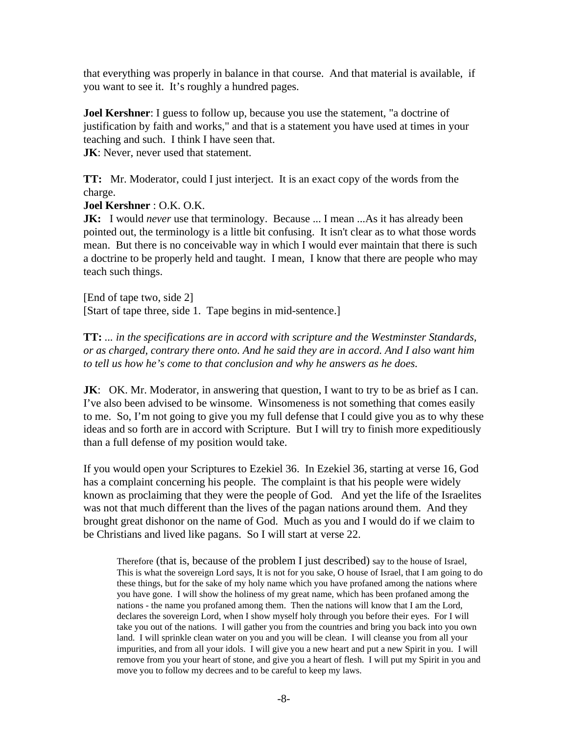that everything was properly in balance in that course. And that material is available, if you want to see it. It's roughly a hundred pages.

**Joel Kershner**: I guess to follow up, because you use the statement, "a doctrine of justification by faith and works," and that is a statement you have used at times in your teaching and such. I think I have seen that. **JK**: Never, never used that statement.

**TT:** Mr. Moderator, could I just interject. It is an exact copy of the words from the charge.

## **Joel Kershner** : O.K. O.K.

**JK:** I would *never* use that terminology. Because ... I mean ...As it has already been pointed out, the terminology is a little bit confusing. It isn't clear as to what those words mean. But there is no conceivable way in which I would ever maintain that there is such a doctrine to be properly held and taught. I mean, I know that there are people who may teach such things.

[End of tape two, side 2] [Start of tape three, side 1. Tape begins in mid-sentence.]

**TT:** *... in the specifications are in accord with scripture and the Westminster Standards, or as charged, contrary there onto. And he said they are in accord. And I also want him to tell us how he's come to that conclusion and why he answers as he does.*

**JK:** OK. Mr. Moderator, in answering that question, I want to try to be as brief as I can. I've also been advised to be winsome. Winsomeness is not something that comes easily to me. So, I'm not going to give you my full defense that I could give you as to why these ideas and so forth are in accord with Scripture. But I will try to finish more expeditiously than a full defense of my position would take.

If you would open your Scriptures to Ezekiel 36. In Ezekiel 36, starting at verse 16, God has a complaint concerning his people. The complaint is that his people were widely known as proclaiming that they were the people of God. And yet the life of the Israelites was not that much different than the lives of the pagan nations around them. And they brought great dishonor on the name of God. Much as you and I would do if we claim to be Christians and lived like pagans. So I will start at verse 22.

Therefore (that is, because of the problem I just described) say to the house of Israel, This is what the sovereign Lord says, It is not for you sake, O house of Israel, that I am going to do these things, but for the sake of my holy name which you have profaned among the nations where you have gone. I will show the holiness of my great name, which has been profaned among the nations - the name you profaned among them. Then the nations will know that I am the Lord, declares the sovereign Lord, when I show myself holy through you before their eyes. For I will take you out of the nations. I will gather you from the countries and bring you back into you own land. I will sprinkle clean water on you and you will be clean. I will cleanse you from all your impurities, and from all your idols. I will give you a new heart and put a new Spirit in you. I will remove from you your heart of stone, and give you a heart of flesh. I will put my Spirit in you and move you to follow my decrees and to be careful to keep my laws.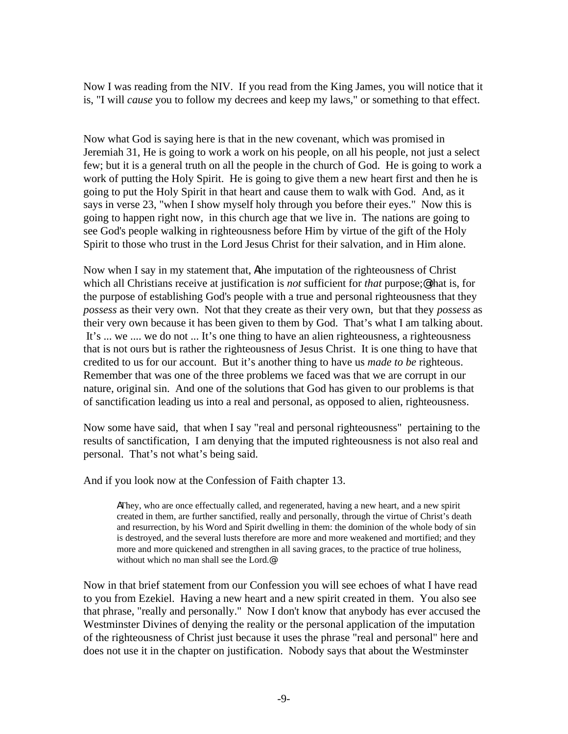Now I was reading from the NIV. If you read from the King James, you will notice that it is, "I will *cause* you to follow my decrees and keep my laws," or something to that effect.

Now what God is saying here is that in the new covenant, which was promised in Jeremiah 31, He is going to work a work on his people, on all his people, not just a select few; but it is a general truth on all the people in the church of God. He is going to work a work of putting the Holy Spirit. He is going to give them a new heart first and then he is going to put the Holy Spirit in that heart and cause them to walk with God. And, as it says in verse 23, "when I show myself holy through you before their eyes." Now this is going to happen right now, in this church age that we live in. The nations are going to see God's people walking in righteousness before Him by virtue of the gift of the Holy Spirit to those who trust in the Lord Jesus Christ for their salvation, and in Him alone.

Now when I say in my statement that, Athe imputation of the righteousness of Christ which all Christians receive at justification is *not* sufficient for *that* purpose;@ that is, for the purpose of establishing God's people with a true and personal righteousness that they *possess* as their very own. Not that they create as their very own, but that they *possess* as their very own because it has been given to them by God. That's what I am talking about. It's ... we .... we do not ... It's one thing to have an alien righteousness, a righteousness that is not ours but is rather the righteousness of Jesus Christ. It is one thing to have that credited to us for our account. But it's another thing to have us *made to be* righteous. Remember that was one of the three problems we faced was that we are corrupt in our nature, original sin. And one of the solutions that God has given to our problems is that of sanctification leading us into a real and personal, as opposed to alien, righteousness.

Now some have said, that when I say "real and personal righteousness" pertaining to the results of sanctification, I am denying that the imputed righteousness is not also real and personal. That's not what's being said.

And if you look now at the Confession of Faith chapter 13.

AThey, who are once effectually called, and regenerated, having a new heart, and a new spirit created in them, are further sanctified, really and personally, through the virtue of Christ's death and resurrection, by his Word and Spirit dwelling in them: the dominion of the whole body of sin is destroyed, and the several lusts therefore are more and more weakened and mortified; and they more and more quickened and strengthen in all saving graces, to the practice of true holiness, without which no man shall see the Lord.@

Now in that brief statement from our Confession you will see echoes of what I have read to you from Ezekiel. Having a new heart and a new spirit created in them. You also see that phrase, "really and personally." Now I don't know that anybody has ever accused the Westminster Divines of denying the reality or the personal application of the imputation of the righteousness of Christ just because it uses the phrase "real and personal" here and does not use it in the chapter on justification. Nobody says that about the Westminster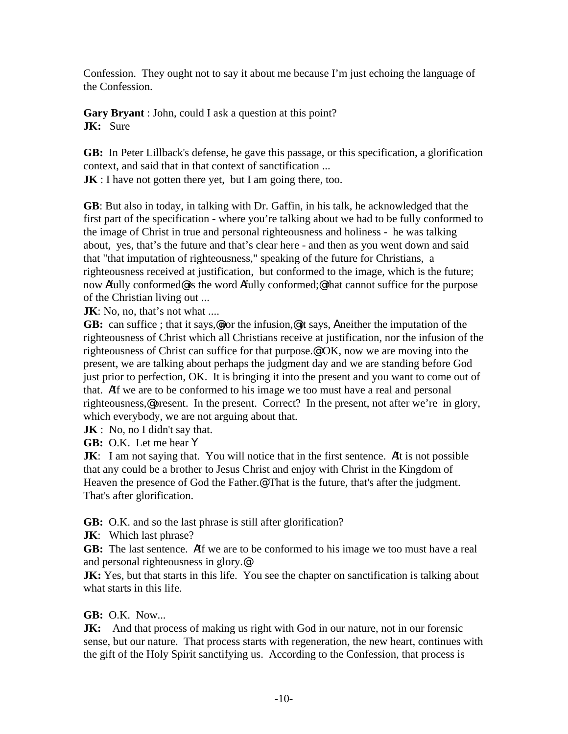Confession. They ought not to say it about me because I'm just echoing the language of the Confession.

**Gary Bryant** : John, could I ask a question at this point? **JK:** Sure

**GB:**In Peter Lillback's defense, he gave this passage, or this specification, a glorification context, and said that in that context of sanctification ...

**JK** : I have not gotten there yet, but I am going there, too.

**GB**: But also in today, in talking with Dr. Gaffin, in his talk, he acknowledged that the first part of the specification - where you're talking about we had to be fully conformed to the image of Christ in true and personal righteousness and holiness - he was talking about, yes, that's the future and that's clear here - and then as you went down and said that "that imputation of righteousness," speaking of the future for Christians, a righteousness received at justification, but conformed to the image, which is the future; now Afully conformed@ is the word Afully conformed;@ that cannot suffice for the purpose of the Christian living out ...

**JK**: No, no, that's not what ....

**GB:** can suffice ; that it says,@nor the infusion,@ it says, A neither the imputation of the righteousness of Christ which all Christians receive at justification, nor the infusion of the righteousness of Christ can suffice for that purpose.@ OK, now we are moving into the present, we are talking about perhaps the judgment day and we are standing before God just prior to perfection, OK. It is bringing it into the present and you want to come out of that. AIf we are to be conformed to his image we too must have a real and personal righteousness,@ present. In the present. Correct? In the present, not after we're in glory, which everybody, we are not arguing about that.

**JK** : No, no I didn't say that.

**GB:** O.K. Let me hear Y

**JK:** I am not saying that. You will notice that in the first sentence. Alt is not possible that any could be a brother to Jesus Christ and enjoy with Christ in the Kingdom of Heaven the presence of God the Father.<sup>@</sup> That is the future, that's after the judgment. That's after glorification.

**GB:** O.K. and so the last phrase is still after glorification?

**JK**: Which last phrase?

**GB:** The last sentence. AIf we are to be conformed to his image we too must have a real and personal righteousness in glory.@

**JK:** Yes, but that starts in this life. You see the chapter on sanctification is talking about what starts in this life.

## **GB:** O.K. Now...

**JK:** And that process of making us right with God in our nature, not in our forensic sense, but our nature. That process starts with regeneration, the new heart, continues with the gift of the Holy Spirit sanctifying us. According to the Confession, that process is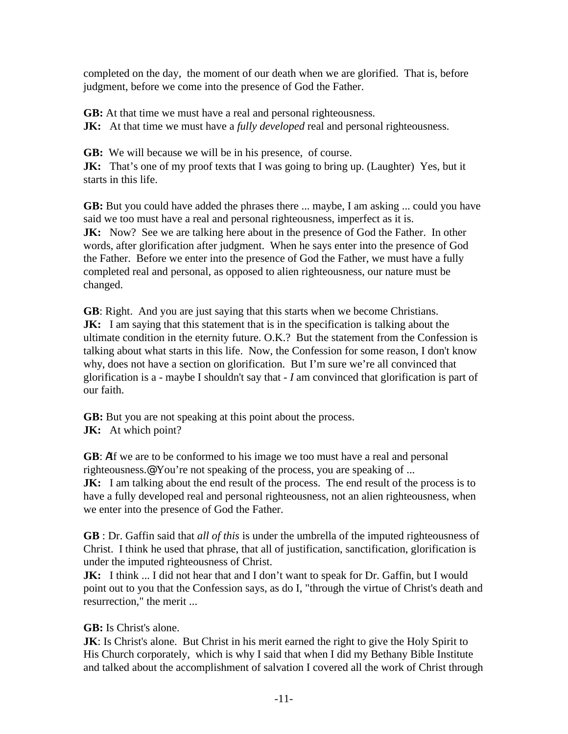completed on the day, the moment of our death when we are glorified. That is, before judgment, before we come into the presence of God the Father.

**GB:** At that time we must have a real and personal righteousness.

**JK:** At that time we must have a *fully developed* real and personal righteousness.

**GB:**We will because we will be in his presence, of course.

**JK:** That's one of my proof texts that I was going to bring up. (Laughter) Yes, but it starts in this life.

**GB:** But you could have added the phrases there ... maybe, I am asking ... could you have said we too must have a real and personal righteousness, imperfect as it is. **JK:** Now? See we are talking here about in the presence of God the Father. In other words, after glorification after judgment. When he says enter into the presence of God the Father. Before we enter into the presence of God the Father, we must have a fully completed real and personal, as opposed to alien righteousness, our nature must be changed.

**GB**: Right. And you are just saying that this starts when we become Christians. **JK:** I am saying that this statement that is in the specification is talking about the ultimate condition in the eternity future. O.K.? But the statement from the Confession is talking about what starts in this life. Now, the Confession for some reason, I don't know why, does not have a section on glorification. But I'm sure we're all convinced that glorification is a - maybe I shouldn't say that - *I* am convinced that glorification is part of our faith.

**GB:** But you are not speaking at this point about the process. **JK:** At which point?

**GB**: AIf we are to be conformed to his image we too must have a real and personal righteousness.@ You're not speaking of the process, you are speaking of ... **JK:** I am talking about the end result of the process. The end result of the process is to have a fully developed real and personal righteousness, not an alien righteousness, when we enter into the presence of God the Father.

**GB** : Dr. Gaffin said that *all of this* is under the umbrella of the imputed righteousness of Christ. I think he used that phrase, that all of justification, sanctification, glorification is under the imputed righteousness of Christ.

**JK:** I think ... I did not hear that and I don't want to speak for Dr. Gaffin, but I would point out to you that the Confession says, as do I, "through the virtue of Christ's death and resurrection," the merit ...

# **GB:** Is Christ's alone.

**JK**: Is Christ's alone. But Christ in his merit earned the right to give the Holy Spirit to His Church corporately, which is why I said that when I did my Bethany Bible Institute and talked about the accomplishment of salvation I covered all the work of Christ through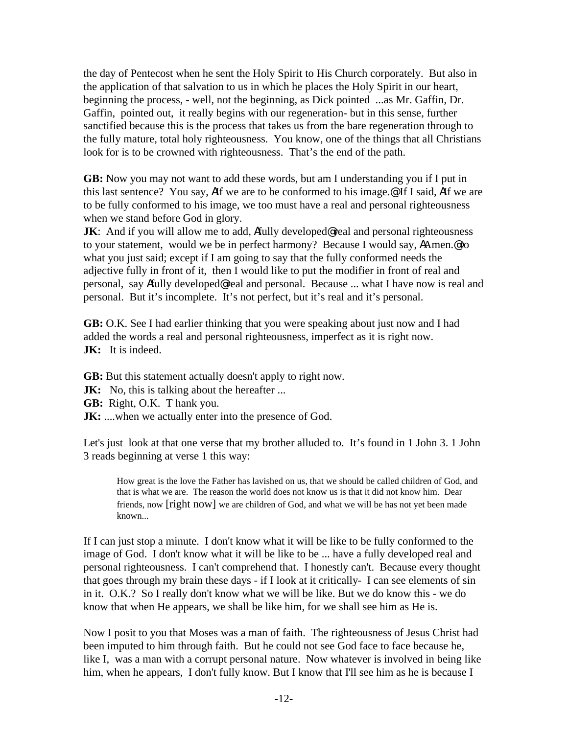the day of Pentecost when he sent the Holy Spirit to His Church corporately. But also in the application of that salvation to us in which he places the Holy Spirit in our heart, beginning the process, - well, not the beginning, as Dick pointed ...as Mr. Gaffin, Dr. Gaffin, pointed out, it really begins with our regeneration- but in this sense, further sanctified because this is the process that takes us from the bare regeneration through to the fully mature, total holy righteousness. You know, one of the things that all Christians look for is to be crowned with righteousness. That's the end of the path.

**GB:** Now you may not want to add these words, but am I understanding you if I put in this last sentence? You say, AIf we are to be conformed to his image.@ If I said, AIf we are to be fully conformed to his image, we too must have a real and personal righteousness when we stand before God in glory.

**JK:** And if you will allow me to add, Afully developed real and personal righteousness to your statement, would we be in perfect harmony? Because I would say, AAmen.@ to what you just said; except if I am going to say that the fully conformed needs the adjective fully in front of it, then I would like to put the modifier in front of real and personal, say Afully developed@ real and personal. Because ... what I have now is real and personal. But it's incomplete. It's not perfect, but it's real and it's personal.

**GB:** O.K. See I had earlier thinking that you were speaking about just now and I had added the words a real and personal righteousness, imperfect as it is right now. **JK:** It is indeed.

**GB:** But this statement actually doesn't apply to right now.

- **JK:** No, this is talking about the hereafter ...
- **GB:** Right, O.K. T hank you.
- **JK:** ....when we actually enter into the presence of God.

Let's just look at that one verse that my brother alluded to. It's found in 1 John 3. 1 John 3 reads beginning at verse 1 this way:

How great is the love the Father has lavished on us, that we should be called children of God, and that is what we are. The reason the world does not know us is that it did not know him. Dear friends, now [right now] we are children of God, and what we will be has not yet been made known...

If I can just stop a minute. I don't know what it will be like to be fully conformed to the image of God. I don't know what it will be like to be ... have a fully developed real and personal righteousness. I can't comprehend that. I honestly can't. Because every thought that goes through my brain these days - if I look at it critically- I can see elements of sin in it. O.K.? So I really don't know what we will be like. But we do know this - we do know that when He appears, we shall be like him, for we shall see him as He is.

Now I posit to you that Moses was a man of faith. The righteousness of Jesus Christ had been imputed to him through faith. But he could not see God face to face because he, like I, was a man with a corrupt personal nature. Now whatever is involved in being like him, when he appears, I don't fully know. But I know that I'll see him as he is because I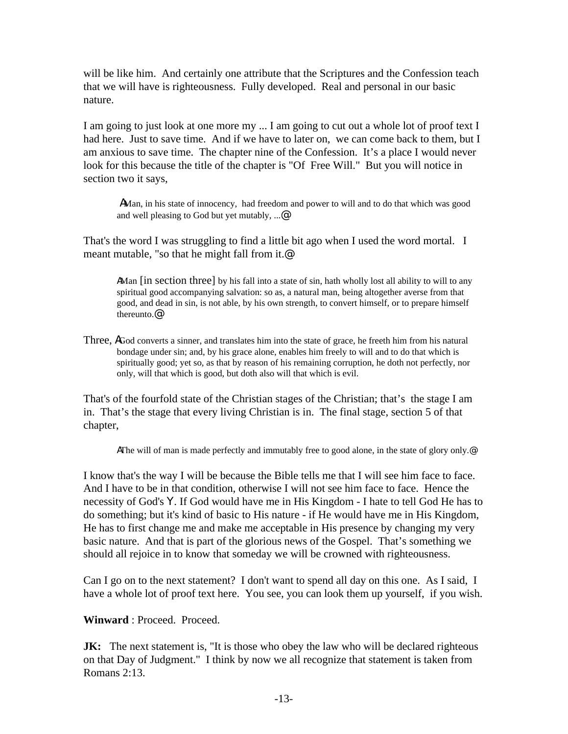will be like him. And certainly one attribute that the Scriptures and the Confession teach that we will have is righteousness. Fully developed. Real and personal in our basic nature.

I am going to just look at one more my ... I am going to cut out a whole lot of proof text I had here. Just to save time. And if we have to later on, we can come back to them, but I am anxious to save time. The chapter nine of the Confession. It's a place I would never look for this because the title of the chapter is "Of Free Will." But you will notice in section two it says,

AMan, in his state of innocency, had freedom and power to will and to do that which was good and well pleasing to God but yet mutably, ...@

That's the word I was struggling to find a little bit ago when I used the word mortal. I meant mutable, "so that he might fall from it.@

AMan [in section three] by his fall into a state of sin, hath wholly lost all ability to will to any spiritual good accompanying salvation: so as, a natural man, being altogether averse from that good, and dead in sin, is not able, by his own strength, to convert himself, or to prepare himself thereunto.@

Three, AGod converts a sinner, and translates him into the state of grace, he freeth him from his natural bondage under sin; and, by his grace alone, enables him freely to will and to do that which is spiritually good; yet so, as that by reason of his remaining corruption, he doth not perfectly, nor only, will that which is good, but doth also will that which is evil.

That's of the fourfold state of the Christian stages of the Christian; that's the stage I am in. That's the stage that every living Christian is in. The final stage, section 5 of that chapter,

AThe will of man is made perfectly and immutably free to good alone, in the state of glory only.@

I know that's the way I will be because the Bible tells me that I will see him face to face. And I have to be in that condition, otherwise I will not see him face to face. Hence the necessity of God's Y. If God would have me in His Kingdom - I hate to tell God He has to do something; but it's kind of basic to His nature - if He would have me in His Kingdom, He has to first change me and make me acceptable in His presence by changing my very basic nature. And that is part of the glorious news of the Gospel. That's something we should all rejoice in to know that someday we will be crowned with righteousness.

Can I go on to the next statement? I don't want to spend all day on this one. As I said, I have a whole lot of proof text here. You see, you can look them up yourself, if you wish.

**Winward** : Proceed. Proceed.

**JK:** The next statement is, "It is those who obey the law who will be declared righteous on that Day of Judgment." I think by now we all recognize that statement is taken from Romans 2:13.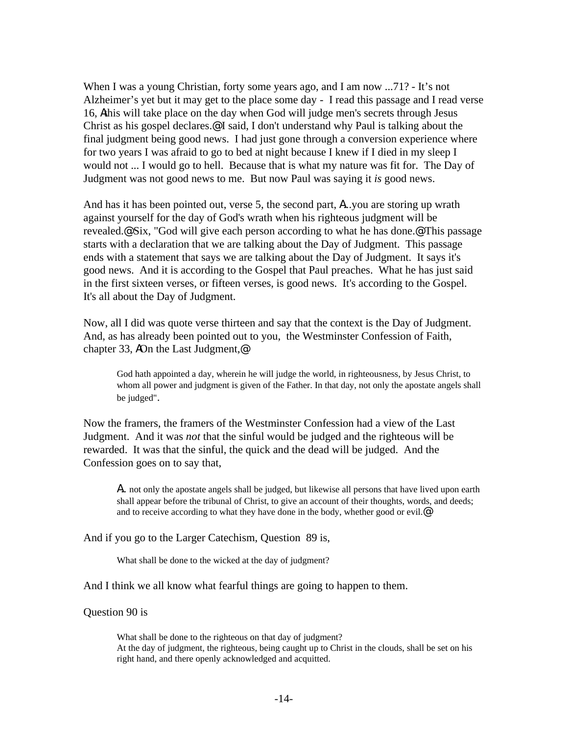When I was a young Christian, forty some years ago, and I am now ...71? - It's not Alzheimer's yet but it may get to the place some day - I read this passage and I read verse 16, Athis will take place on the day when God will judge men's secrets through Jesus Christ as his gospel declares.@ I said, I don't understand why Paul is talking about the final judgment being good news. I had just gone through a conversion experience where for two years I was afraid to go to bed at night because I knew if I died in my sleep I would not ... I would go to hell. Because that is what my nature was fit for. The Day of Judgment was not good news to me. But now Paul was saying it *is* good news.

And has it has been pointed out, verse 5, the second part, A...you are storing up wrath against yourself for the day of God's wrath when his righteous judgment will be revealed.@ Six, "God will give each person according to what he has done.@ This passage starts with a declaration that we are talking about the Day of Judgment. This passage ends with a statement that says we are talking about the Day of Judgment. It says it's good news. And it is according to the Gospel that Paul preaches. What he has just said in the first sixteen verses, or fifteen verses, is good news. It's according to the Gospel. It's all about the Day of Judgment.

Now, all I did was quote verse thirteen and say that the context is the Day of Judgment. And, as has already been pointed out to you, the Westminster Confession of Faith, chapter 33, AOn the Last Judgment,@

God hath appointed a day, wherein he will judge the world, in righteousness, by Jesus Christ, to whom all power and judgment is given of the Father. In that day, not only the apostate angels shall be judged".

Now the framers, the framers of the Westminster Confession had a view of the Last Judgment. And it was *not* that the sinful would be judged and the righteous will be rewarded. It was that the sinful, the quick and the dead will be judged. And the Confession goes on to say that,

A.. not only the apostate angels shall be judged, but likewise all persons that have lived upon earth shall appear before the tribunal of Christ, to give an account of their thoughts, words, and deeds; and to receive according to what they have done in the body, whether good or evil.<sup>@</sup>

And if you go to the Larger Catechism, Question 89 is,

What shall be done to the wicked at the day of judgment?

And I think we all know what fearful things are going to happen to them.

Question 90 is

What shall be done to the righteous on that day of judgment? At the day of judgment, the righteous, being caught up to Christ in the clouds, shall be set on his right hand, and there openly acknowledged and acquitted.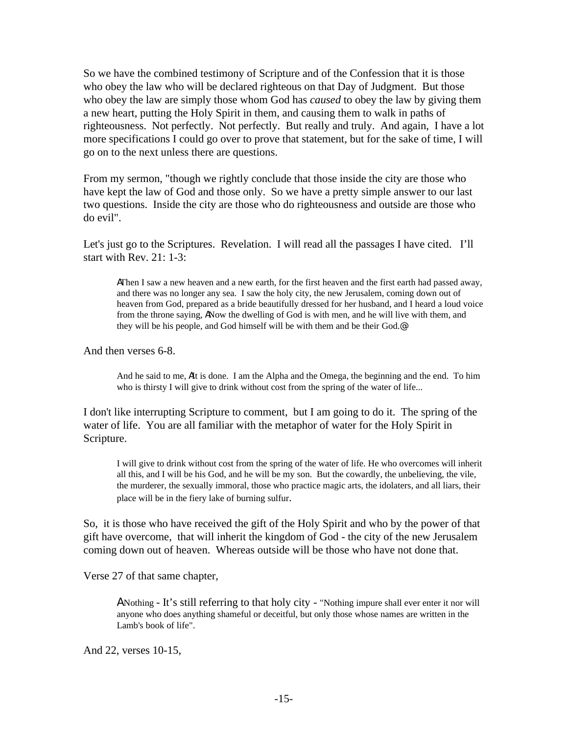So we have the combined testimony of Scripture and of the Confession that it is those who obey the law who will be declared righteous on that Day of Judgment. But those who obey the law are simply those whom God has *caused* to obey the law by giving them a new heart, putting the Holy Spirit in them, and causing them to walk in paths of righteousness. Not perfectly. Not perfectly. But really and truly. And again, I have a lot more specifications I could go over to prove that statement, but for the sake of time, I will go on to the next unless there are questions.

From my sermon, "though we rightly conclude that those inside the city are those who have kept the law of God and those only. So we have a pretty simple answer to our last two questions. Inside the city are those who do righteousness and outside are those who do evil".

Let's just go to the Scriptures. Revelation. I will read all the passages I have cited. I'll start with Rev. 21: 1-3:

AThen I saw a new heaven and a new earth, for the first heaven and the first earth had passed away, and there was no longer any sea. I saw the holy city, the new Jerusalem, coming down out of heaven from God, prepared as a bride beautifully dressed for her husband, and I heard a loud voice from the throne saying, ANow the dwelling of God is with men, and he will live with them, and they will be his people, and God himself will be with them and be their God.@

And then verses 6-8.

And he said to me, AIt is done. I am the Alpha and the Omega, the beginning and the end. To him who is thirsty I will give to drink without cost from the spring of the water of life...

I don't like interrupting Scripture to comment, but I am going to do it. The spring of the water of life. You are all familiar with the metaphor of water for the Holy Spirit in Scripture.

I will give to drink without cost from the spring of the water of life. He who overcomes will inherit all this, and I will be his God, and he will be my son. But the cowardly, the unbelieving, the vile, the murderer, the sexually immoral, those who practice magic arts, the idolaters, and all liars, their place will be in the fiery lake of burning sulfur.

So, it is those who have received the gift of the Holy Spirit and who by the power of that gift have overcome, that will inherit the kingdom of God - the city of the new Jerusalem coming down out of heaven. Whereas outside will be those who have not done that.

Verse 27 of that same chapter,

A Nothing - It's still referring to that holy city - "Nothing impure shall ever enter it nor will anyone who does anything shameful or deceitful, but only those whose names are written in the Lamb's book of life".

And 22, verses 10-15,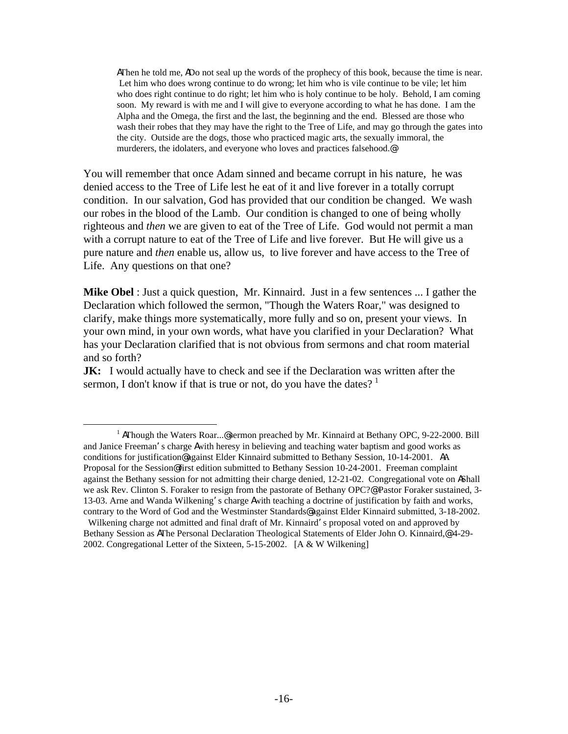AThen he told me, ADo not seal up the words of the prophecy of this book, because the time is near. Let him who does wrong continue to do wrong; let him who is vile continue to be vile; let him who does right continue to do right; let him who is holy continue to be holy. Behold, I am coming soon. My reward is with me and I will give to everyone according to what he has done. I am the Alpha and the Omega, the first and the last, the beginning and the end. Blessed are those who wash their robes that they may have the right to the Tree of Life, and may go through the gates into the city. Outside are the dogs, those who practiced magic arts, the sexually immoral, the murderers, the idolaters, and everyone who loves and practices falsehood.@

You will remember that once Adam sinned and became corrupt in his nature, he was denied access to the Tree of Life lest he eat of it and live forever in a totally corrupt condition. In our salvation, God has provided that our condition be changed. We wash our robes in the blood of the Lamb. Our condition is changed to one of being wholly righteous and *then* we are given to eat of the Tree of Life. God would not permit a man with a corrupt nature to eat of the Tree of Life and live forever. But He will give us a pure nature and *then* enable us, allow us, to live forever and have access to the Tree of Life. Any questions on that one?

**Mike Obel** : Just a quick question, Mr. Kinnaird. Just in a few sentences ... I gather the Declaration which followed the sermon, "Though the Waters Roar," was designed to clarify, make things more systematically, more fully and so on, present your views. In your own mind, in your own words, what have you clarified in your Declaration? What has your Declaration clarified that is not obvious from sermons and chat room material and so forth?

**JK:** I would actually have to check and see if the Declaration was written after the sermon, I don't know if that is true or not, do you have the dates?  $1$ 

<u>.</u>

<sup>&</sup>lt;sup>1</sup> AThough the Waters Roar...@sermon preached by Mr. Kinnaird at Bethany OPC, 9-22-2000. Bill and Janice Freeman's charge Awith heresy in believing and teaching water baptism and good works as conditions for justification@ against Elder Kinnaird submitted to Bethany Session, 10-14-2001. AA Proposal for the Session@ first edition submitted to Bethany Session 10-24-2001. Freeman complaint against the Bethany session for not admitting their charge denied, 12-21-02. Congregational vote on AShall we ask Rev. Clinton S. Foraker to resign from the pastorate of Bethany OPC?@ Pastor Foraker sustained, 3- 13-03. Arne and Wanda Wilkening's charge Awith teaching a doctrine of justification by faith and works, contrary to the Word of God and the Westminster Standards@ against Elder Kinnaird submitted, 3-18-2002.

Wilkening charge not admitted and final draft of Mr. Kinnaird's proposal voted on and approved by Bethany Session as AThe Personal Declaration Theological Statements of Elder John O. Kinnaird,@ 4-29- 2002. Congregational Letter of the Sixteen, 5-15-2002. [A & W Wilkening]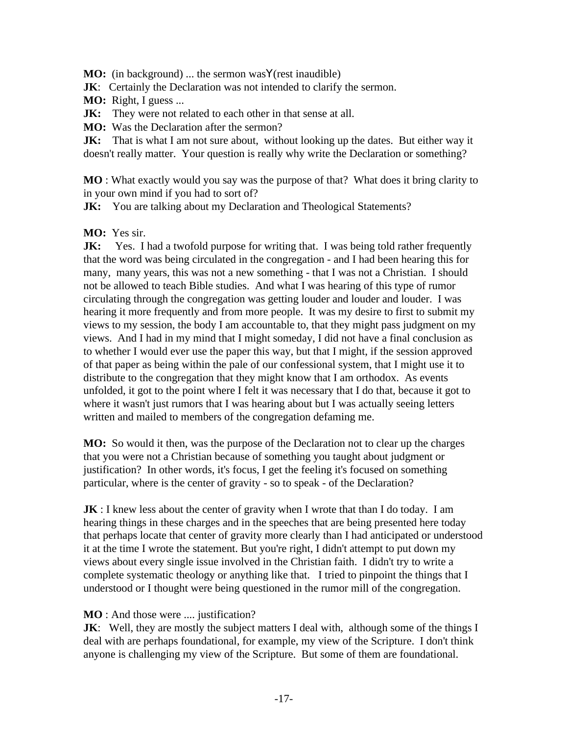**MO:** (in background) ... the sermon was **Y**(rest inaudible)

**JK:** Certainly the Declaration was not intended to clarify the sermon.

**MO:** Right, I guess ...

**JK:** They were not related to each other in that sense at all.

**MO:** Was the Declaration after the sermon?

**JK:** That is what I am not sure about, without looking up the dates. But either way it doesn't really matter. Your question is really why write the Declaration or something?

**MO** : What exactly would you say was the purpose of that? What does it bring clarity to in your own mind if you had to sort of?

**JK:** You are talking about my Declaration and Theological Statements?

## **MO:** Yes sir.

**JK:** Yes. I had a twofold purpose for writing that. I was being told rather frequently that the word was being circulated in the congregation - and I had been hearing this for many, many years, this was not a new something - that I was not a Christian. I should not be allowed to teach Bible studies. And what I was hearing of this type of rumor circulating through the congregation was getting louder and louder and louder. I was hearing it more frequently and from more people. It was my desire to first to submit my views to my session, the body I am accountable to, that they might pass judgment on my views. And I had in my mind that I might someday, I did not have a final conclusion as to whether I would ever use the paper this way, but that I might, if the session approved of that paper as being within the pale of our confessional system, that I might use it to distribute to the congregation that they might know that I am orthodox. As events unfolded, it got to the point where I felt it was necessary that I do that, because it got to where it wasn't just rumors that I was hearing about but I was actually seeing letters written and mailed to members of the congregation defaming me.

**MO:** So would it then, was the purpose of the Declaration not to clear up the charges that you were not a Christian because of something you taught about judgment or justification? In other words, it's focus, I get the feeling it's focused on something particular, where is the center of gravity - so to speak - of the Declaration?

**JK** : I knew less about the center of gravity when I wrote that than I do today. I am hearing things in these charges and in the speeches that are being presented here today that perhaps locate that center of gravity more clearly than I had anticipated or understood it at the time I wrote the statement. But you're right, I didn't attempt to put down my views about every single issue involved in the Christian faith. I didn't try to write a complete systematic theology or anything like that. I tried to pinpoint the things that I understood or I thought were being questioned in the rumor mill of the congregation.

## **MO** : And those were .... justification?

**JK:** Well, they are mostly the subject matters I deal with, although some of the things I deal with are perhaps foundational, for example, my view of the Scripture. I don't think anyone is challenging my view of the Scripture. But some of them are foundational.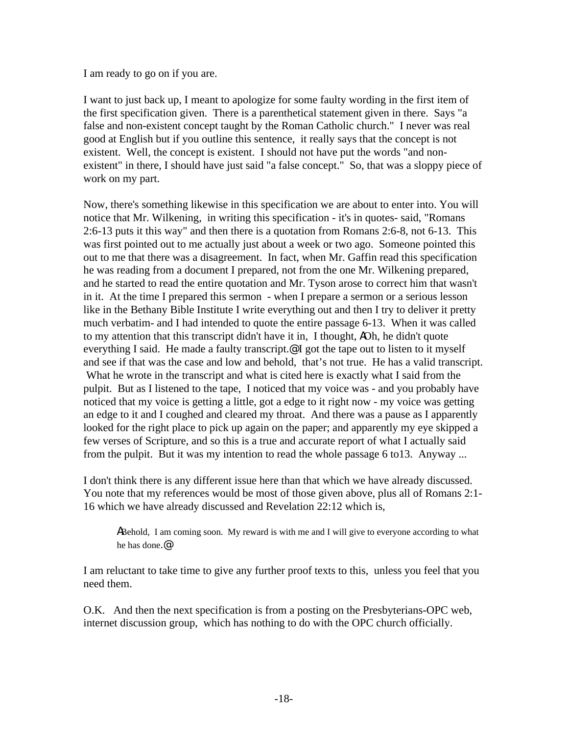I am ready to go on if you are.

I want to just back up, I meant to apologize for some faulty wording in the first item of the first specification given. There is a parenthetical statement given in there. Says "a false and non-existent concept taught by the Roman Catholic church." I never was real good at English but if you outline this sentence, it really says that the concept is not existent. Well, the concept is existent. I should not have put the words "and nonexistent" in there, I should have just said "a false concept." So, that was a sloppy piece of work on my part.

Now, there's something likewise in this specification we are about to enter into. You will notice that Mr. Wilkening, in writing this specification - it's in quotes- said, "Romans 2:6-13 puts it this way" and then there is a quotation from Romans 2:6-8, not 6-13. This was first pointed out to me actually just about a week or two ago. Someone pointed this out to me that there was a disagreement. In fact, when Mr. Gaffin read this specification he was reading from a document I prepared, not from the one Mr. Wilkening prepared, and he started to read the entire quotation and Mr. Tyson arose to correct him that wasn't in it. At the time I prepared this sermon - when I prepare a sermon or a serious lesson like in the Bethany Bible Institute I write everything out and then I try to deliver it pretty much verbatim- and I had intended to quote the entire passage 6-13. When it was called to my attention that this transcript didn't have it in, I thought, AOh, he didn't quote everything I said. He made a faulty transcript.<sup>@</sup> I got the tape out to listen to it myself and see if that was the case and low and behold, that's not true. He has a valid transcript. What he wrote in the transcript and what is cited here is exactly what I said from the pulpit. But as I listened to the tape, I noticed that my voice was - and you probably have noticed that my voice is getting a little, got a edge to it right now - my voice was getting an edge to it and I coughed and cleared my throat. And there was a pause as I apparently looked for the right place to pick up again on the paper; and apparently my eye skipped a few verses of Scripture, and so this is a true and accurate report of what I actually said from the pulpit. But it was my intention to read the whole passage 6 to13. Anyway ...

I don't think there is any different issue here than that which we have already discussed. You note that my references would be most of those given above, plus all of Romans 2:1- 16 which we have already discussed and Revelation 22:12 which is,

ABehold, I am coming soon. My reward is with me and I will give to everyone according to what he has done.@

I am reluctant to take time to give any further proof texts to this, unless you feel that you need them.

O.K. And then the next specification is from a posting on the Presbyterians-OPC web, internet discussion group, which has nothing to do with the OPC church officially.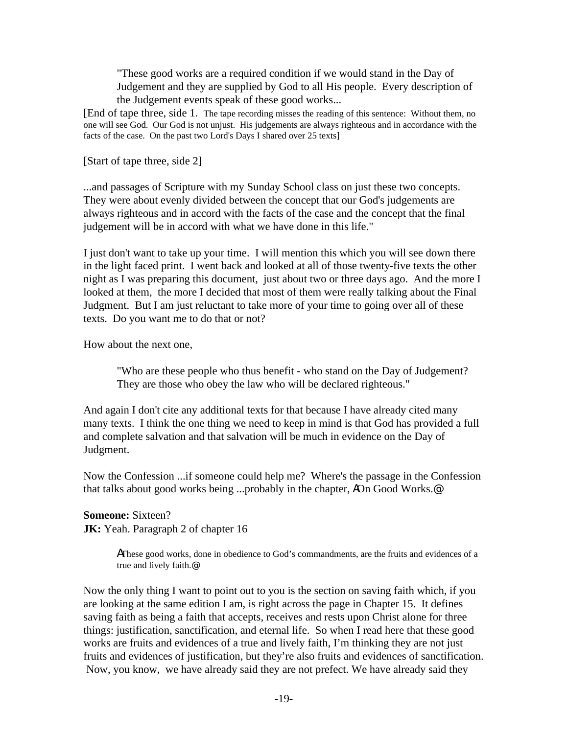"These good works are a required condition if we would stand in the Day of Judgement and they are supplied by God to all His people. Every description of the Judgement events speak of these good works...

[End of tape three, side 1. The tape recording misses the reading of this sentence: Without them, no one will see God. Our God is not unjust. His judgements are always righteous and in accordance with the facts of the case. On the past two Lord's Days I shared over 25 texts]

[Start of tape three, side 2]

...and passages of Scripture with my Sunday School class on just these two concepts. They were about evenly divided between the concept that our God's judgements are always righteous and in accord with the facts of the case and the concept that the final judgement will be in accord with what we have done in this life."

I just don't want to take up your time. I will mention this which you will see down there in the light faced print. I went back and looked at all of those twenty-five texts the other night as I was preparing this document, just about two or three days ago. And the more I looked at them, the more I decided that most of them were really talking about the Final Judgment. But I am just reluctant to take more of your time to going over all of these texts. Do you want me to do that or not?

How about the next one,

"Who are these people who thus benefit - who stand on the Day of Judgement? They are those who obey the law who will be declared righteous."

And again I don't cite any additional texts for that because I have already cited many many texts. I think the one thing we need to keep in mind is that God has provided a full and complete salvation and that salvation will be much in evidence on the Day of Judgment.

Now the Confession ...if someone could help me? Where's the passage in the Confession that talks about good works being ...probably in the chapter, AOn Good Works.@

**Someone:** Sixteen? **JK:** Yeah. Paragraph 2 of chapter 16

> AThese good works, done in obedience to God's commandments, are the fruits and evidences of a true and lively faith.@

Now the only thing I want to point out to you is the section on saving faith which, if you are looking at the same edition I am, is right across the page in Chapter 15. It defines saving faith as being a faith that accepts, receives and rests upon Christ alone for three things: justification, sanctification, and eternal life. So when I read here that these good works are fruits and evidences of a true and lively faith, I'm thinking they are not just fruits and evidences of justification, but they're also fruits and evidences of sanctification. Now, you know, we have already said they are not prefect. We have already said they